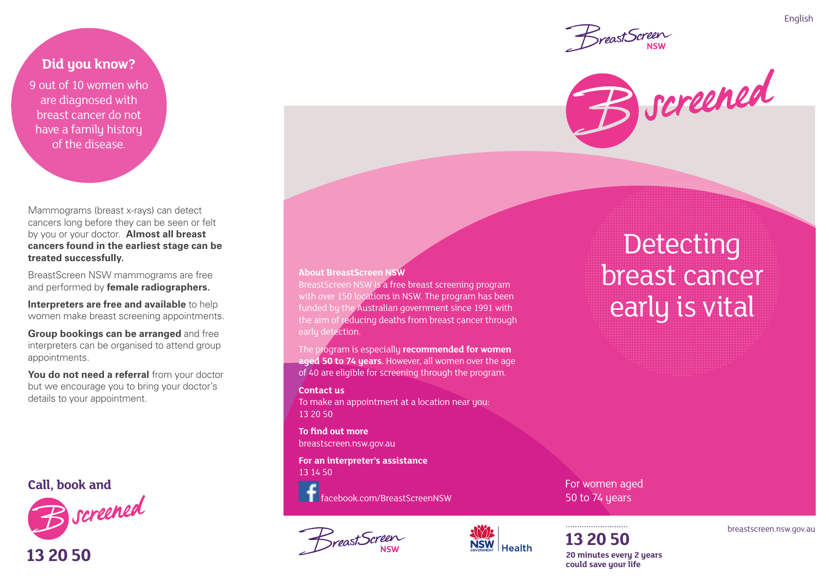**Did you know?** 

9 out of 10 women who are diagnosed with breast cancer do not have a family history of the disease.

Mammograms (breast x-rays) can detect cancers long before they can be seen or felt by you or your doctor. **Almost all breast cancers found in the earliest stage can be treated successfully.**

BreastScreen NSW mammograms are free and performed by **female radiographers.**

**Interpreters are free and available** to help women make breast screening appointments.

**Group bookings can be arranged** and free interpreters can be organised to attend group appointments.

You do not need a referral from your doctor but we encourage you to bring your doctor's details to your appointment.



**13 20 50**



BreastScreen NSW is a free breast screening program with over 150 locations in NSW. The program has been funded by the Australian government since 1991 with the aim of reducing deaths from breast cancer through early detection.

The program is especially **recommended for women aged 50 to 74 years.** However, all women over the age of 40 are eligible for screening through the program.

#### **Contact us**

To make an appointment at a location near you: 13 20 50

**To find out more** breastscreen.nsw.gov.au

**For an interpreter's assistance** 13 14 50

facebook.com/BreastScreenNSW





For women aged 50 to 74 years

**13 20 50 20 minutes every 2 years could save your life**





**Detecting** breast cancer early is vital

breastscreen.nsw.gov.au